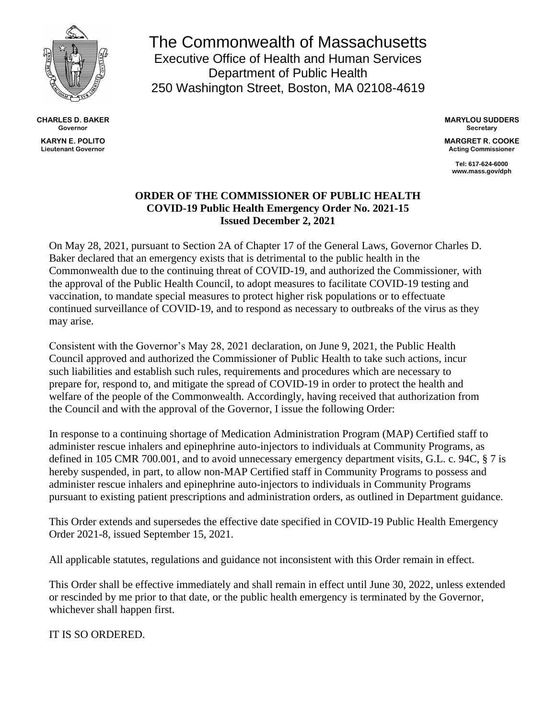

**CHARLES D. BAKER Governor KARYN E. POLITO Lieutenant Governor**

The Commonwealth of Massachusetts Executive Office of Health and Human Services Department of Public Health 250 Washington Street, Boston, MA 02108-4619

> **MARYLOU SUDDERS Secretary**

**MARGRET R. COOKE Acting Commissioner**

> **Tel: 617-624-6000 www.mass.gov/dph**

## **ORDER OF THE COMMISSIONER OF PUBLIC HEALTH COVID-19 Public Health Emergency Order No. 2021-15 Issued December 2, 2021**

On May 28, 2021, pursuant to Section 2A of Chapter 17 of the General Laws, Governor Charles D. Baker declared that an emergency exists that is detrimental to the public health in the Commonwealth due to the continuing threat of COVID-19, and authorized the Commissioner, with the approval of the Public Health Council, to adopt measures to facilitate COVID-19 testing and vaccination, to mandate special measures to protect higher risk populations or to effectuate continued surveillance of COVID-19, and to respond as necessary to outbreaks of the virus as they may arise.

Consistent with the Governor's May 28, 2021 declaration, on June 9, 2021, the Public Health Council approved and authorized the Commissioner of Public Health to take such actions, incur such liabilities and establish such rules, requirements and procedures which are necessary to prepare for, respond to, and mitigate the spread of COVID-19 in order to protect the health and welfare of the people of the Commonwealth. Accordingly, having received that authorization from the Council and with the approval of the Governor, I issue the following Order:

In response to a continuing shortage of Medication Administration Program (MAP) Certified staff to administer rescue inhalers and epinephrine auto-injectors to individuals at Community Programs, as defined in 105 CMR 700.001, and to avoid unnecessary emergency department visits, G.L. c. 94C, § 7 is hereby suspended, in part, to allow non-MAP Certified staff in Community Programs to possess and administer rescue inhalers and epinephrine auto-injectors to individuals in Community Programs pursuant to existing patient prescriptions and administration orders, as outlined in Department guidance.

This Order extends and supersedes the effective date specified in COVID-19 Public Health Emergency Order 2021-8, issued September 15, 2021.

All applicable statutes, regulations and guidance not inconsistent with this Order remain in effect.

This Order shall be effective immediately and shall remain in effect until June 30, 2022, unless extended or rescinded by me prior to that date, or the public health emergency is terminated by the Governor, whichever shall happen first.

IT IS SO ORDERED.